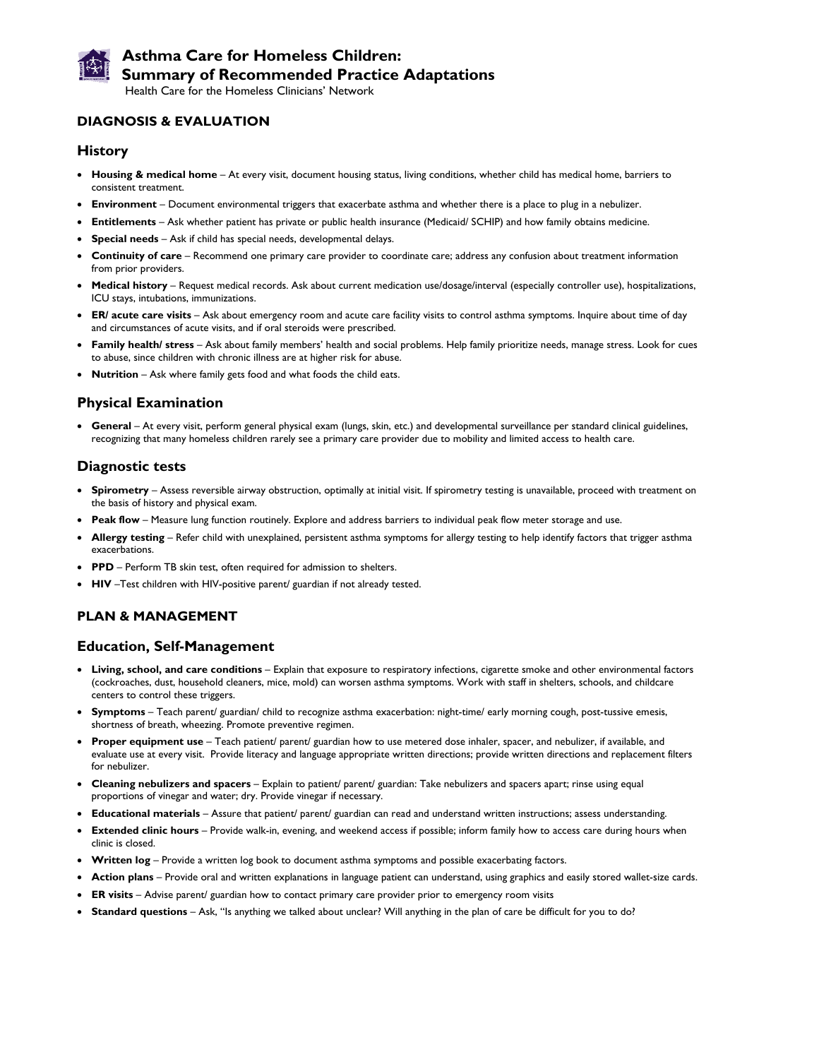

# **Asthma Care for Homeless Children: Summary of Recommended Practice Adaptations**

Health Care for the Homeless Clinicians' Network

# **DIAGNOSIS & EVALUATION**

#### **History**

- **Housing & medical home** At every visit, document housing status, living conditions, whether child has medical home, barriers to consistent treatment.
- **Environment** Document environmental triggers that exacerbate asthma and whether there is a place to plug in a nebulizer.
- **Entitlements**  Ask whether patient has private or public health insurance (Medicaid/ SCHIP) and how family obtains medicine.
- **Special needs** Ask if child has special needs, developmental delays.
- **Continuity of care** Recommend one primary care provider to coordinate care; address any confusion about treatment information from prior providers.
- **Medical history** Request medical records. Ask about current medication use/dosage/interval (especially controller use), hospitalizations, ICU stays, intubations, immunizations.
- **ER/ acute care visits** Ask about emergency room and acute care facility visits to control asthma symptoms. Inquire about time of day and circumstances of acute visits, and if oral steroids were prescribed.
- **Family health/ stress** Ask about family members' health and social problems. Help family prioritize needs, manage stress. Look for cues to abuse, since children with chronic illness are at higher risk for abuse.
- **Nutrition** Ask where family gets food and what foods the child eats.

# **Physical Examination**

• **General** – At every visit, perform general physical exam (lungs, skin, etc.) and developmental surveillance per standard clinical guidelines, recognizing that many homeless children rarely see a primary care provider due to mobility and limited access to health care.

# **Diagnostic tests**

- **Spirometry** Assess reversible airway obstruction, optimally at initial visit. If spirometry testing is unavailable, proceed with treatment on the basis of history and physical exam.
- **Peak flow** Measure lung function routinely. Explore and address barriers to individual peak flow meter storage and use.
- Allergy testing Refer child with unexplained, persistent asthma symptoms for allergy testing to help identify factors that trigger asthma exacerbations.
- **PPD** Perform TB skin test, often required for admission to shelters.
- **HIV** –Test children with HIV-positive parent/ guardian if not already tested.

### **PLAN & MANAGEMENT**

### **Education, Self-Management**

- **Living, school, and care conditions** Explain that exposure to respiratory infections, cigarette smoke and other environmental factors (cockroaches, dust, household cleaners, mice, mold) can worsen asthma symptoms. Work with staff in shelters, schools, and childcare centers to control these triggers.
- **Symptoms** Teach parent/ guardian/ child to recognize asthma exacerbation: night-time/ early morning cough, post-tussive emesis, shortness of breath, wheezing. Promote preventive regimen.
- **Proper equipment use** Teach patient/ parent/ guardian how to use metered dose inhaler, spacer, and nebulizer, if available, and evaluate use at every visit. Provide literacy and language appropriate written directions; provide written directions and replacement filters for nebulizer.
- **Cleaning nebulizers and spacers** Explain to patient/ parent/ guardian: Take nebulizers and spacers apart; rinse using equal proportions of vinegar and water; dry. Provide vinegar if necessary.
- **Educational materials** Assure that patient/ parent/ guardian can read and understand written instructions; assess understanding.
- **Extended clinic hours** Provide walk-in, evening, and weekend access if possible; inform family how to access care during hours when clinic is closed.
- **Written log** Provide a written log book to document asthma symptoms and possible exacerbating factors.
- **Action plans** Provide oral and written explanations in language patient can understand, using graphics and easily stored wallet-size cards.
- **ER visits** Advise parent/ guardian how to contact primary care provider prior to emergency room visits
- **Standard questions** Ask, "Is anything we talked about unclear? Will anything in the plan of care be difficult for you to do?